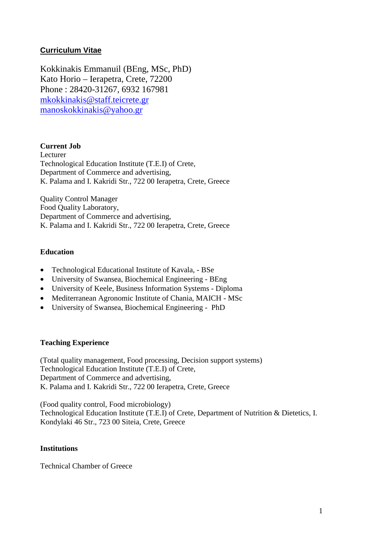### **Curriculum Vitae**

Kokkinakis Emmanuil (BΕng, MSc, PhD) Kato Horio – Ierapetra, Crete, 72200 Phone : 28420-31267, 6932 167981 mkokkinakis@staff.teicrete.gr manoskokkinakis@yahoo.gr

### **Current Job**

Lecturer Technological Education Institute (T.E.I) of Crete, Department of Commerce and advertising, K. Palama and I. Kakridi Str., 722 00 Ierapetra, Crete, Greece

Quality Control Manager Food Quality Laboratory, Department of Commerce and advertising, K. Palama and I. Kakridi Str., 722 00 Ierapetra, Crete, Greece

### **Education**

- Technological Educational Institute of Kavala, BSe
- University of Swansea, Biochemical Engineering BEng
- University of Keele, Business Information Systems Diploma
- Mediterranean Agronomic Institute of Chania, MAICH MSc
- University of Swansea, Biochemical Engineering PhD

### **Teaching Experience**

(Total quality management, Food processing, Decision support systems) Technological Education Institute (T.E.I) of Crete, Department of Commerce and advertising, K. Palama and I. Kakridi Str., 722 00 Ierapetra, Crete, Greece

(Food quality control, Food microbiology) Technological Education Institute (T.E.I) of Crete, Department of Nutrition & Dietetics, I. Kondylaki 46 Str., 723 00 Siteia, Crete, Greece

#### **Institutions**

Technical Chamber of Greece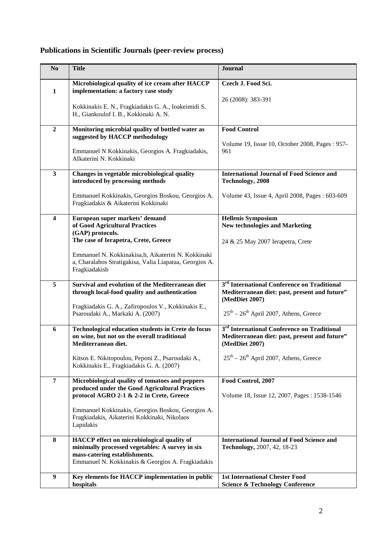# **Publications in Scientific Journals (peer-review process)**

| N <sub>o</sub>          | <b>Title</b>                                                                                                                                                                                                                                                    | <b>Journal</b>                                                                                                                                                         |
|-------------------------|-----------------------------------------------------------------------------------------------------------------------------------------------------------------------------------------------------------------------------------------------------------------|------------------------------------------------------------------------------------------------------------------------------------------------------------------------|
| $\mathbf{1}$            | Microbiological quality of ice cream after HACCP<br>implementation: a factory case study<br>Kokkinakis E. N., Fragkiadakis G. A., Ioakeimidi S.<br>H., Giankoulof I. B., Kokkinaki A. N.                                                                        | Czech J. Food Sci.<br>26 (2008): 383-391                                                                                                                               |
| $\overline{2}$          | Monitoring microbial quality of bottled water as<br>suggested by HACCP methodology<br>Emmanuel N Kokkinakis, Georgios A. Fragkiadakis,<br>AIkaterini N. Kokkinaki                                                                                               | <b>Food Control</b><br>Volume 19, Issue 10, October 2008, Pages : 957-<br>961                                                                                          |
| $\mathbf{3}$            | Changes in vegetable microbiological quality<br>introduced by processing methods<br>Emmanuel Kokkinakis, Georgios Boskou, Georgios A.<br>Fragkiadakis & Aikaterini Kokkinaki                                                                                    | <b>International Journal of Food Science and</b><br>Technology, 2008<br>Volume 43, Issue 4, April 2008, Pages: 603-609                                                 |
| $\overline{\mathbf{4}}$ | European super markets' demand<br>of Good Agricultural Practices<br>(GAP) protocols.<br>The case of Ierapetra, Crete, Greece<br>Emmanuel N. Kokkinakisa,b, Aikaterini N. Kokkinaki<br>a, Charalabos Stratigakisa, Valia Liapataa, Georgios A.<br>Fragkiadakisb  | <b>Hellenis Symposium</b><br><b>New technologies and Marketing</b><br>24 & 25 May 2007 Ierapetra, Crete                                                                |
| 5                       | Survival and evolution of the Mediterranean diet<br>through local-food quality and authentication<br>Fragkiadakis G. A., Zafiropoulos V., Kokkinakis E.,<br>Psaroudaki A., Markaki A. (2007)                                                                    | 3 <sup>rd</sup> International Conference on Traditional<br>Mediterranean diet: past, present and future"<br>(MedDiet 2007)<br>$25th - 26th$ April 2007, Athens, Greece |
| 6                       | <b>Technological education students in Crete do focus</b><br>on wine, but not on the overall traditional<br>Mediterranean diet.<br>Kitsos E. Nikitopoulou, Peponi Z., Psaroudaki A.,<br>Kokkinakis E., Fragkiadakis G. A. (2007)                                | 3 <sup>rd</sup> International Conference on Traditional<br>Mediterranean diet: past, present and future"<br>(MedDiet 2007)<br>$25th - 26th$ April 2007, Athens, Greece |
| $\overline{7}$          | Microbiological quality of tomatoes and peppers<br>produced under the Good Agricultural Practices<br>protocol AGRO 2-1 & 2-2 in Crete, Greece<br>Emmanuel Kokkinakis, Georgios Boskou, Georgios A.<br>Fragkiadakis, Aikaterini Kokkinaki, Nikolaos<br>Lapidakis | Food Control, 2007<br>Volume 18, Issue 12, 2007, Pages: 1538-1546                                                                                                      |
| $\bf{8}$                | HACCP effect on microbiological quality of<br>minimally processed vegetables: A survey in six<br>mass-catering establishments.<br>Emmanuel N. Kokkinakis & Georgios A. Fragkiadakis                                                                             | <b>International Journal of Food Science and</b><br>Technology, 2007, 42, 18-23                                                                                        |
| $\boldsymbol{9}$        | Key elements for HACCP implementation in public<br>hospitals                                                                                                                                                                                                    | <b>1st International Chester Food</b><br><b>Science &amp; Technology Conference</b>                                                                                    |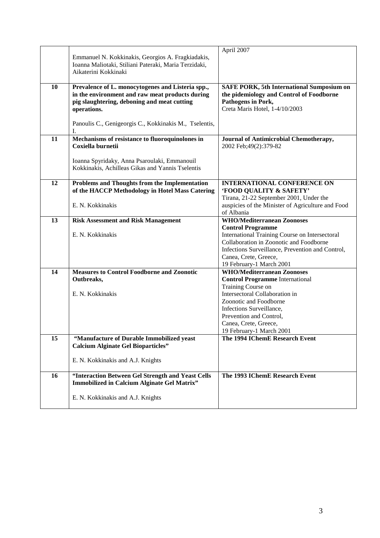|    |                                                        | April 2007                                        |
|----|--------------------------------------------------------|---------------------------------------------------|
|    | Emmanuel N. Kokkinakis, Georgios A. Fragkiadakis,      |                                                   |
|    | Ioanna Maliotaki, Stiliani Pateraki, Maria Terzidaki,  |                                                   |
|    | Aikaterini Kokkinaki                                   |                                                   |
|    |                                                        |                                                   |
| 10 |                                                        |                                                   |
|    | Prevalence of L. monocytogenes and Listeria spp.,      | <b>SAFE PORK, 5th International Sumposium on</b>  |
|    | in the environment and raw meat products during        | the pidemiology and Control of Foodborne          |
|    | pig slaughtering, deboning and meat cutting            | Pathogens in Pork,                                |
|    | operations.                                            | Creta Maris Hotel, 1-4/10/2003                    |
|    |                                                        |                                                   |
|    | Panoulis C., Genigeorgis C., Kokkinakis M., Tselentis, |                                                   |
|    | I.                                                     |                                                   |
| 11 | Mechanisms of resistance to fluoroquinolones in        | Journal of Antimicrobial Chemotherapy,            |
|    | Coxiella burnetii                                      | 2002 Feb; 49(2): 379-82                           |
|    |                                                        |                                                   |
|    | Ioanna Spyridaky, Anna Psaroulaki, Emmanouil           |                                                   |
|    | Kokkinakis, Achilleas Gikas and Yannis Tselentis       |                                                   |
|    |                                                        |                                                   |
| 12 | Problems and Thoughts from the Implementation          | <b>INTERNATIONAL CONFERENCE ON</b>                |
|    | of the HACCP Methodology in Hotel Mass Catering        | 'FOOD QUALITY & SAFETY'                           |
|    |                                                        | Tirana, 21-22 September 2001, Under the           |
|    |                                                        |                                                   |
|    | E. N. Kokkinakis                                       | auspicies of the Minister of Agriculture and Food |
|    |                                                        | of Albania                                        |
| 13 | <b>Risk Assessment and Risk Management</b>             | <b>WHO/Mediterranean Zoonoses</b>                 |
|    |                                                        | <b>Control Programme</b>                          |
|    | E. N. Kokkinakis                                       | International Training Course on Intersectoral    |
|    |                                                        | Collaboration in Zoonotic and Foodborne           |
|    |                                                        | Infections Surveillance, Prevention and Control,  |
|    |                                                        | Canea, Crete, Greece,                             |
|    |                                                        | 19 February-1 March 2001                          |
| 14 | <b>Measures to Control Foodborne and Zoonotic</b>      | <b>WHO/Mediterranean Zoonoses</b>                 |
|    | Outbreaks,                                             | <b>Control Programme International</b>            |
|    |                                                        | Training Course on                                |
|    | E. N. Kokkinakis                                       | Intersectoral Collaboration in                    |
|    |                                                        | Zoonotic and Foodborne                            |
|    |                                                        | Infections Surveillance,                          |
|    |                                                        | Prevention and Control,                           |
|    |                                                        | Canea, Crete, Greece,                             |
|    |                                                        | 19 February-1 March 2001                          |
| 15 | "Manufacture of Durable Immobilized yeast              | The 1994 IChemE Research Event                    |
|    | <b>Calcium Alginate Gel Bioparticles"</b>              |                                                   |
|    |                                                        |                                                   |
|    | E. N. Kokkinakis and A.J. Knights                      |                                                   |
|    |                                                        |                                                   |
| 16 | "Interaction Between Gel Strength and Yeast Cells      | The 1993 IChemE Research Event                    |
|    | Immobilized in Calcium Alginate Gel Matrix"            |                                                   |
|    |                                                        |                                                   |
|    | E. N. Kokkinakis and A.J. Knights                      |                                                   |
|    |                                                        |                                                   |
|    |                                                        |                                                   |